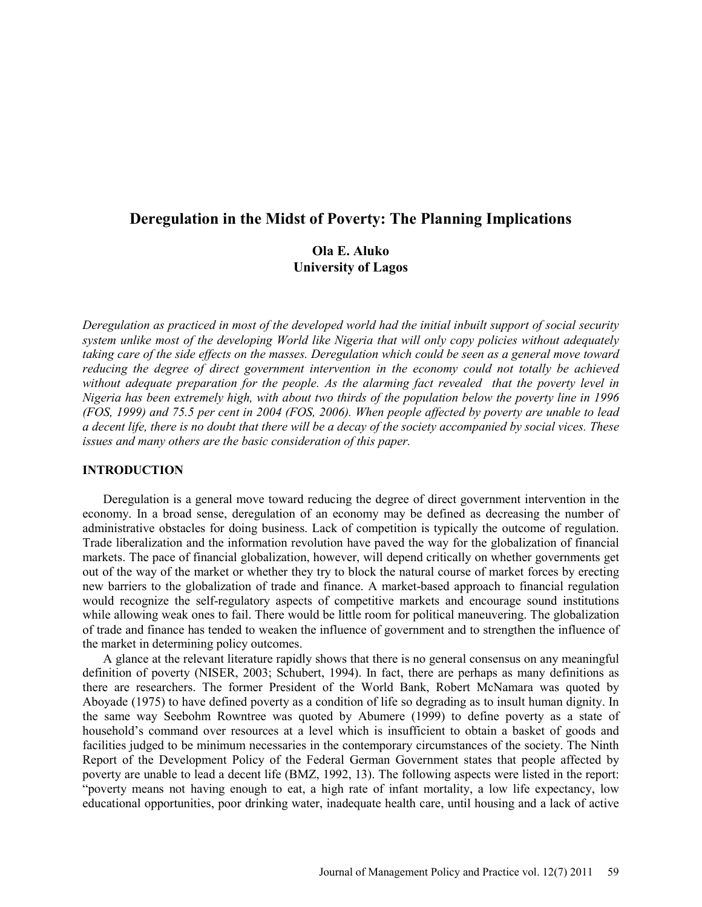# **Deregulation in the Midst of Poverty: The Planning Implications**

# **Ola E. Aluko University of Lagos**

*Deregulation as practiced in most of the developed world had the initial inbuilt support of social security system unlike most of the developing World like Nigeria that will only copy policies without adequately taking care of the side effects on the masses. Deregulation which could be seen as a general move toward reducing the degree of direct government intervention in the economy could not totally be achieved without adequate preparation for the people. As the alarming fact revealed that the poverty level in Nigeria has been extremely high, with about two thirds of the population below the poverty line in 1996 (FOS, 1999) and 75.5 per cent in 2004 (FOS, 2006). When people affected by poverty are unable to lead a decent life, there is no doubt that there will be a decay of the society accompanied by social vices. These issues and many others are the basic consideration of this paper.*

## **INTRODUCTION**

Deregulation is a general move toward reducing the degree of direct government intervention in the economy. In a broad sense, deregulation of an economy may be defined as decreasing the number of administrative obstacles for doing business. Lack of competition is typically the outcome of regulation. Trade liberalization and the information revolution have paved the way for the globalization of financial markets. The pace of financial globalization, however, will depend critically on whether governments get out of the way of the market or whether they try to block the natural course of market forces by erecting new barriers to the globalization of trade and finance. A market-based approach to financial regulation would recognize the self-regulatory aspects of competitive markets and encourage sound institutions while allowing weak ones to fail. There would be little room for political maneuvering. The globalization of trade and finance has tended to weaken the influence of government and to strengthen the influence of the market in determining policy outcomes.

A glance at the relevant literature rapidly shows that there is no general consensus on any meaningful definition of poverty (NISER, 2003; Schubert, 1994). In fact, there are perhaps as many definitions as there are researchers. The former President of the World Bank, Robert McNamara was quoted by Aboyade (1975) to have defined poverty as a condition of life so degrading as to insult human dignity. In the same way Seebohm Rowntree was quoted by Abumere (1999) to define poverty as a state of household's command over resources at a level which is insufficient to obtain a basket of goods and facilities judged to be minimum necessaries in the contemporary circumstances of the society. The Ninth Report of the Development Policy of the Federal German Government states that people affected by poverty are unable to lead a decent life (BMZ, 1992, 13). The following aspects were listed in the report: "poverty means not having enough to eat, a high rate of infant mortality, a low life expectancy, low educational opportunities, poor drinking water, inadequate health care, until housing and a lack of active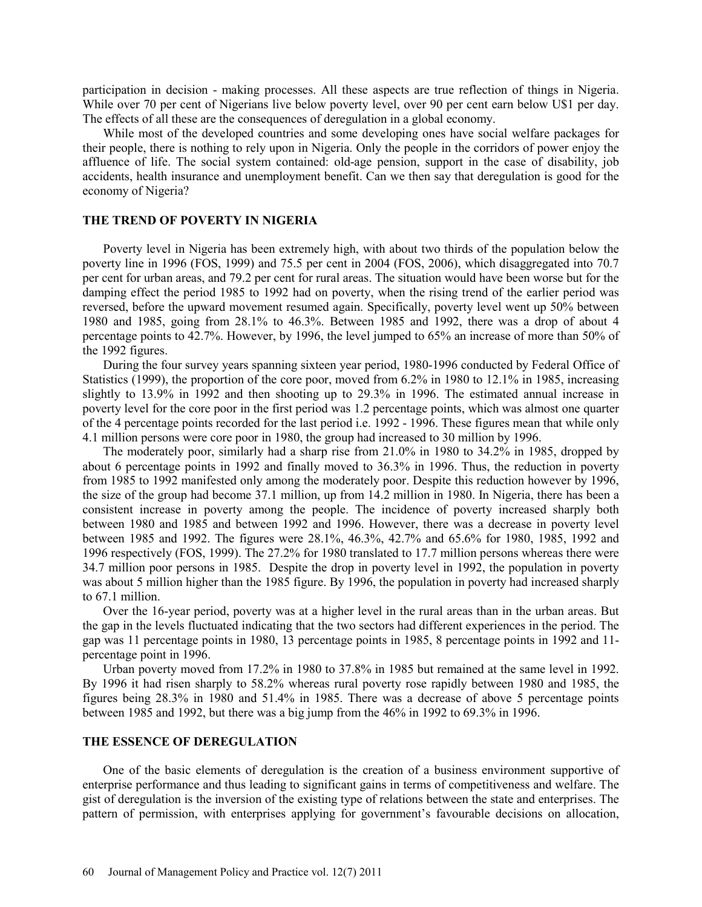participation in decision - making processes. All these aspects are true reflection of things in Nigeria. While over 70 per cent of Nigerians live below poverty level, over 90 per cent earn below U\$1 per day. The effects of all these are the consequences of deregulation in a global economy.

While most of the developed countries and some developing ones have social welfare packages for their people, there is nothing to rely upon in Nigeria. Only the people in the corridors of power enjoy the affluence of life. The social system contained: old-age pension, support in the case of disability, job accidents, health insurance and unemployment benefit. Can we then say that deregulation is good for the economy of Nigeria?

# **THE TREND OF POVERTY IN NIGERIA**

Poverty level in Nigeria has been extremely high, with about two thirds of the population below the poverty line in 1996 (FOS, 1999) and 75.5 per cent in 2004 (FOS, 2006), which disaggregated into 70.7 per cent for urban areas, and 79.2 per cent for rural areas. The situation would have been worse but for the damping effect the period 1985 to 1992 had on poverty, when the rising trend of the earlier period was reversed, before the upward movement resumed again. Specifically, poverty level went up 50% between 1980 and 1985, going from 28.1% to 46.3%. Between 1985 and 1992, there was a drop of about 4 percentage points to 42.7%. However, by 1996, the level jumped to 65% an increase of more than 50% of the 1992 figures.

During the four survey years spanning sixteen year period, 1980-1996 conducted by Federal Office of Statistics (1999), the proportion of the core poor, moved from 6.2% in 1980 to 12.1% in 1985, increasing slightly to 13.9% in 1992 and then shooting up to 29.3% in 1996. The estimated annual increase in poverty level for the core poor in the first period was 1.2 percentage points, which was almost one quarter of the 4 percentage points recorded for the last period i.e. 1992 - 1996. These figures mean that while only 4.1 million persons were core poor in 1980, the group had increased to 30 million by 1996.

The moderately poor, similarly had a sharp rise from 21.0% in 1980 to 34.2% in 1985, dropped by about 6 percentage points in 1992 and finally moved to 36.3% in 1996. Thus, the reduction in poverty from 1985 to 1992 manifested only among the moderately poor. Despite this reduction however by 1996, the size of the group had become 37.1 million, up from 14.2 million in 1980. In Nigeria, there has been a consistent increase in poverty among the people. The incidence of poverty increased sharply both between 1980 and 1985 and between 1992 and 1996. However, there was a decrease in poverty level between 1985 and 1992. The figures were 28.1%, 46.3%, 42.7% and 65.6% for 1980, 1985, 1992 and 1996 respectively (FOS, 1999). The 27.2% for 1980 translated to 17.7 million persons whereas there were 34.7 million poor persons in 1985. Despite the drop in poverty level in 1992, the population in poverty was about 5 million higher than the 1985 figure. By 1996, the population in poverty had increased sharply to 67.1 million.

Over the 16-year period, poverty was at a higher level in the rural areas than in the urban areas. But the gap in the levels fluctuated indicating that the two sectors had different experiences in the period. The gap was 11 percentage points in 1980, 13 percentage points in 1985, 8 percentage points in 1992 and 11 percentage point in 1996.

Urban poverty moved from 17.2% in 1980 to 37.8% in 1985 but remained at the same level in 1992. By 1996 it had risen sharply to 58.2% whereas rural poverty rose rapidly between 1980 and 1985, the figures being 28.3% in 1980 and 51.4% in 1985. There was a decrease of above 5 percentage points between 1985 and 1992, but there was a big jump from the 46% in 1992 to 69.3% in 1996.

#### **THE ESSENCE OF DEREGULATION**

One of the basic elements of deregulation is the creation of a business environment supportive of enterprise performance and thus leading to significant gains in terms of competitiveness and welfare. The gist of deregulation is the inversion of the existing type of relations between the state and enterprises. The pattern of permission, with enterprises applying for government's favourable decisions on allocation,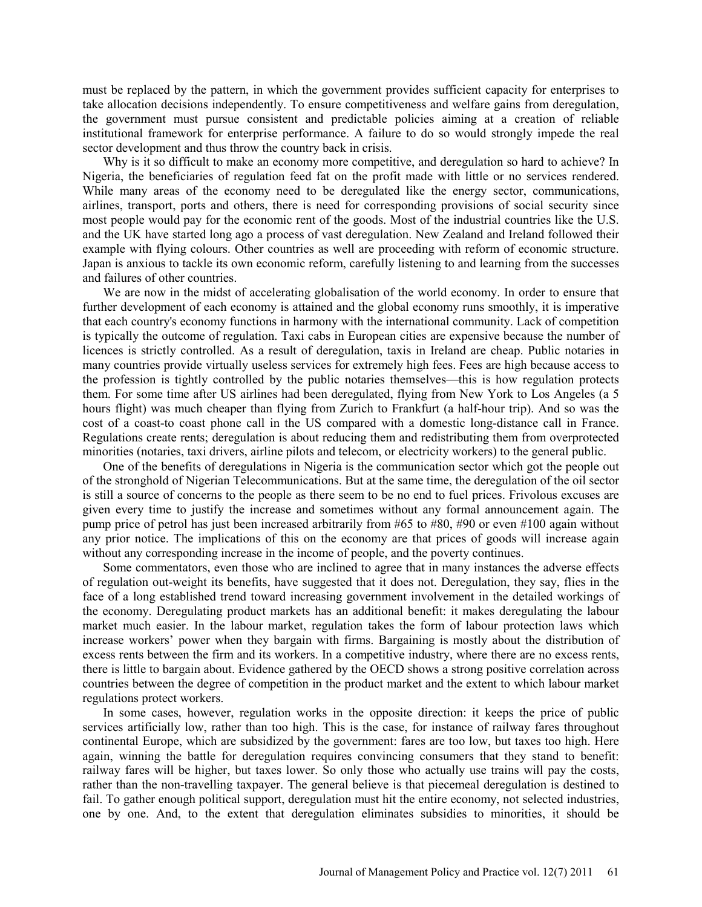must be replaced by the pattern, in which the government provides sufficient capacity for enterprises to take allocation decisions independently. To ensure competitiveness and welfare gains from deregulation, the government must pursue consistent and predictable policies aiming at a creation of reliable institutional framework for enterprise performance. A failure to do so would strongly impede the real sector development and thus throw the country back in crisis.

Why is it so difficult to make an economy more competitive, and deregulation so hard to achieve? In Nigeria, the beneficiaries of regulation feed fat on the profit made with little or no services rendered. While many areas of the economy need to be deregulated like the energy sector, communications, airlines, transport, ports and others, there is need for corresponding provisions of social security since most people would pay for the economic rent of the goods. Most of the industrial countries like the U.S. and the UK have started long ago a process of vast deregulation. New Zealand and Ireland followed their example with flying colours. Other countries as well are proceeding with reform of economic structure. Japan is anxious to tackle its own economic reform, carefully listening to and learning from the successes and failures of other countries.

We are now in the midst of accelerating globalisation of the world economy. In order to ensure that further development of each economy is attained and the global economy runs smoothly, it is imperative that each country's economy functions in harmony with the international community. Lack of competition is typically the outcome of regulation. Taxi cabs in European cities are expensive because the number of licences is strictly controlled. As a result of deregulation, taxis in Ireland are cheap. Public notaries in many countries provide virtually useless services for extremely high fees. Fees are high because access to the profession is tightly controlled by the public notaries themselves—this is how regulation protects them. For some time after US airlines had been deregulated, flying from New York to Los Angeles (a 5 hours flight) was much cheaper than flying from Zurich to Frankfurt (a half-hour trip). And so was the cost of a coast-to coast phone call in the US compared with a domestic long-distance call in France. Regulations create rents; deregulation is about reducing them and redistributing them from overprotected minorities (notaries, taxi drivers, airline pilots and telecom, or electricity workers) to the general public.

One of the benefits of deregulations in Nigeria is the communication sector which got the people out of the stronghold of Nigerian Telecommunications. But at the same time, the deregulation of the oil sector is still a source of concerns to the people as there seem to be no end to fuel prices. Frivolous excuses are given every time to justify the increase and sometimes without any formal announcement again. The pump price of petrol has just been increased arbitrarily from #65 to #80, #90 or even #100 again without any prior notice. The implications of this on the economy are that prices of goods will increase again without any corresponding increase in the income of people, and the poverty continues.

Some commentators, even those who are inclined to agree that in many instances the adverse effects of regulation out-weight its benefits, have suggested that it does not. Deregulation, they say, flies in the face of a long established trend toward increasing government involvement in the detailed workings of the economy. Deregulating product markets has an additional benefit: it makes deregulating the labour market much easier. In the labour market, regulation takes the form of labour protection laws which increase workers' power when they bargain with firms. Bargaining is mostly about the distribution of excess rents between the firm and its workers. In a competitive industry, where there are no excess rents, there is little to bargain about. Evidence gathered by the OECD shows a strong positive correlation across countries between the degree of competition in the product market and the extent to which labour market regulations protect workers.

In some cases, however, regulation works in the opposite direction: it keeps the price of public services artificially low, rather than too high. This is the case, for instance of railway fares throughout continental Europe, which are subsidized by the government: fares are too low, but taxes too high. Here again, winning the battle for deregulation requires convincing consumers that they stand to benefit: railway fares will be higher, but taxes lower. So only those who actually use trains will pay the costs, rather than the non-travelling taxpayer. The general believe is that piecemeal deregulation is destined to fail. To gather enough political support, deregulation must hit the entire economy, not selected industries, one by one. And, to the extent that deregulation eliminates subsidies to minorities, it should be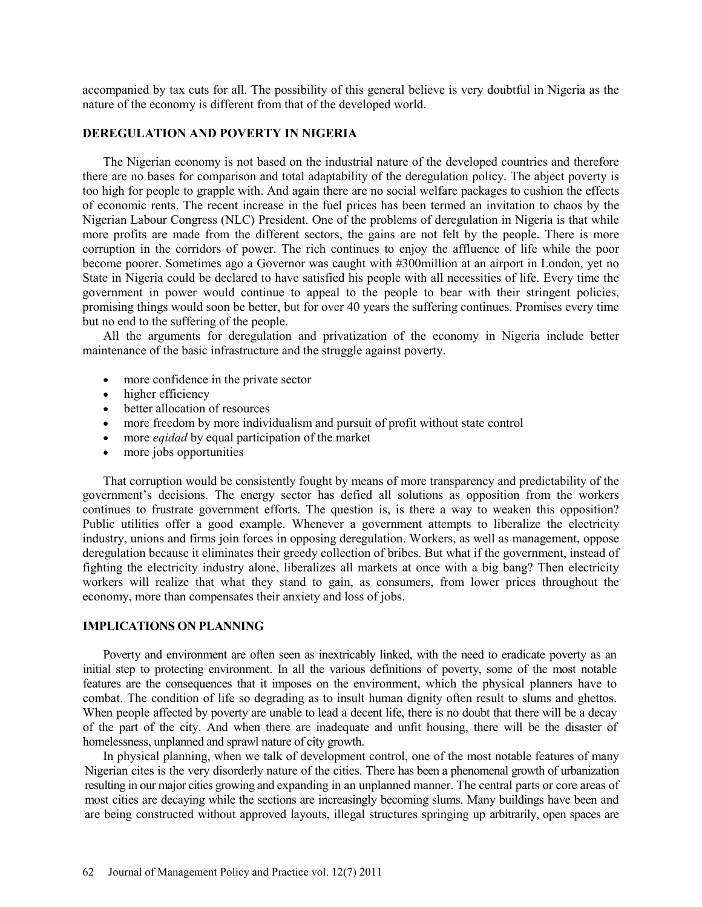accompanied by tax cuts for all. The possibility of this general believe is very doubtful in Nigeria as the nature of the economy is different from that of the developed world.

## **DEREGULATION AND POVERTY IN NIGERIA**

The Nigerian economy is not based on the industrial nature of the developed countries and therefore there are no bases for comparison and total adaptability of the deregulation policy. The abject poverty is too high for people to grapple with. And again there are no social welfare packages to cushion the effects of economic rents. The recent increase in the fuel prices has been termed an invitation to chaos by the Nigerian Labour Congress (NLC) President. One of the problems of deregulation in Nigeria is that while more profits are made from the different sectors, the gains are not felt by the people. There is more corruption in the corridors of power. The rich continues to enjoy the affluence of life while the poor become poorer. Sometimes ago a Governor was caught with #300million at an airport in London, yet no State in Nigeria could be declared to have satisfied his people with all necessities of life. Every time the government in power would continue to appeal to the people to bear with their stringent policies, promising things would soon be better, but for over 40 years the suffering continues. Promises every time but no end to the suffering of the people.

All the arguments for deregulation and privatization of the economy in Nigeria include better maintenance of the basic infrastructure and the struggle against poverty.

- more confidence in the private sector
- higher efficiency
- better allocation of resources
- more freedom by more individualism and pursuit of profit without state control
- more *eqidad* by equal participation of the market
- more jobs opportunities

That corruption would be consistently fought by means of more transparency and predictability of the government's decisions. The energy sector has defied all solutions as opposition from the workers continues to frustrate government efforts. The question is, is there a way to weaken this opposition? Public utilities offer a good example. Whenever a government attempts to liberalize the electricity industry, unions and firms join forces in opposing deregulation. Workers, as well as management, oppose deregulation because it eliminates their greedy collection of bribes. But what if the government, instead of fighting the electricity industry alone, liberalizes all markets at once with a big bang? Then electricity workers will realize that what they stand to gain, as consumers, from lower prices throughout the economy, more than compensates their anxiety and loss of jobs.

#### **IMPLICATIONS ON PLANNING**

Poverty and environment are often seen as inextricably linked, with the need to eradicate poverty as an initial step to protecting environment. In all the various definitions of poverty, some of the most notable features are the consequences that it imposes on the environment, which the physical planners have to combat. The condition of life so degrading as to insult human dignity often result to slums and ghettos. When people affected by poverty are unable to lead a decent life, there is no doubt that there will be a decay of the part of the city. And when there are inadequate and unfit housing, there will be the disaster of homelessness, unplanned and sprawl nature of city growth.

In physical planning, when we talk of development control, one of the most notable features of many Nigerian cites is the very disorderly nature of the cities. There has been a phenomenal growth of urbanization resulting in our major cities growing and expanding in an unplanned manner. The central parts or core areas of most cities are decaying while the sections are increasingly becoming slums. Many buildings have been and are being constructed without approved layouts, illegal structures springing up arbitrarily, open spaces are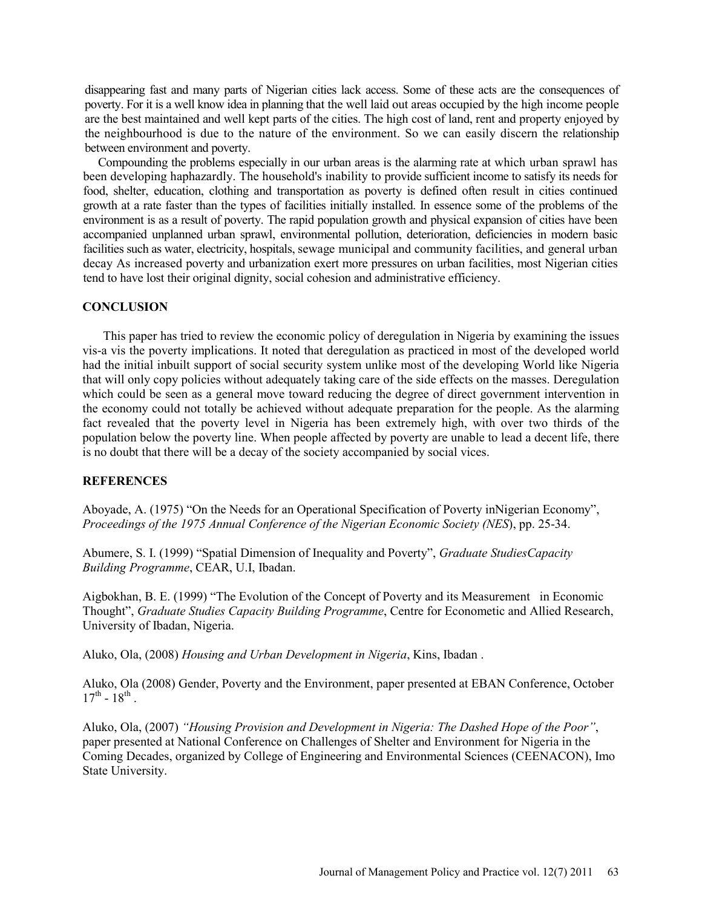disappearing fast and many parts of Nigerian cities lack access. Some of these acts are the consequences of poverty. For it is a well know idea in planning that the well laid out areas occupied by the high income people are the best maintained and well kept parts of the cities. The high cost of land, rent and property enjoyed by the neighbourhood is due to the nature of the environment. So we can easily discern the relationship between environment and poverty.

Compounding the problems especially in our urban areas is the alarming rate at which urban sprawl has been developing haphazardly. The household's inability to provide sufficient income to satisfy its needs for food, shelter, education, clothing and transportation as poverty is defined often result in cities continued growth at a rate faster than the types of facilities initially installed. In essence some of the problems of the environment is as a result of poverty. The rapid population growth and physical expansion of cities have been accompanied unplanned urban sprawl, environmental pollution, deterioration, deficiencies in modern basic facilities such as water, electricity, hospitals, sewage municipal and community facilities, and general urban decay As increased poverty and urbanization exert more pressures on urban facilities, most Nigerian cities tend to have lost their original dignity, social cohesion and administrative efficiency.

#### **CONCLUSION**

This paper has tried to review the economic policy of deregulation in Nigeria by examining the issues vis-a vis the poverty implications. It noted that deregulation as practiced in most of the developed world had the initial inbuilt support of social security system unlike most of the developing World like Nigeria that will only copy policies without adequately taking care of the side effects on the masses. Deregulation which could be seen as a general move toward reducing the degree of direct government intervention in the economy could not totally be achieved without adequate preparation for the people. As the alarming fact revealed that the poverty level in Nigeria has been extremely high, with over two thirds of the population below the poverty line. When people affected by poverty are unable to lead a decent life, there is no doubt that there will be a decay of the society accompanied by social vices.

### **REFERENCES**

Aboyade, A. (1975) "On the Needs for an Operational Specification of Poverty in Nigerian Economy", *Proceedings of the 1975 Annual Conference of the Nigerian Economic Society (NES*), pp. 25-34.

Abumere, S. I. (1999) "Spatial Dimension of Inequality and Poverty", *Graduate StudiesCapacity Building Programme*, CEAR, U.I, Ibadan.

Aigbokhan, B. E. (1999) "The Evolution of the Concept of Poverty and its Measurement in Economic Thought", *Graduate Studies Capacity Building Programme*, Centre for Econometic and Allied Research, University of Ibadan, Nigeria.

Aluko, Ola, (2008) *Housing and Urban Development in Nigeria*, Kins, Ibadan .

Aluko, Ola (2008) Gender, Poverty and the Environment, paper presented at EBAN Conference, October  $17^{th}$  -  $18^{th}$ .

Aluko, Ola, (2007) *"Housing Provision and Development in Nigeria: The Dashed Hope of the Poor"*, paper presented at National Conference on Challenges of Shelter and Environment for Nigeria in the Coming Decades, organized by College of Engineering and Environmental Sciences (CEENACON), Imo State University.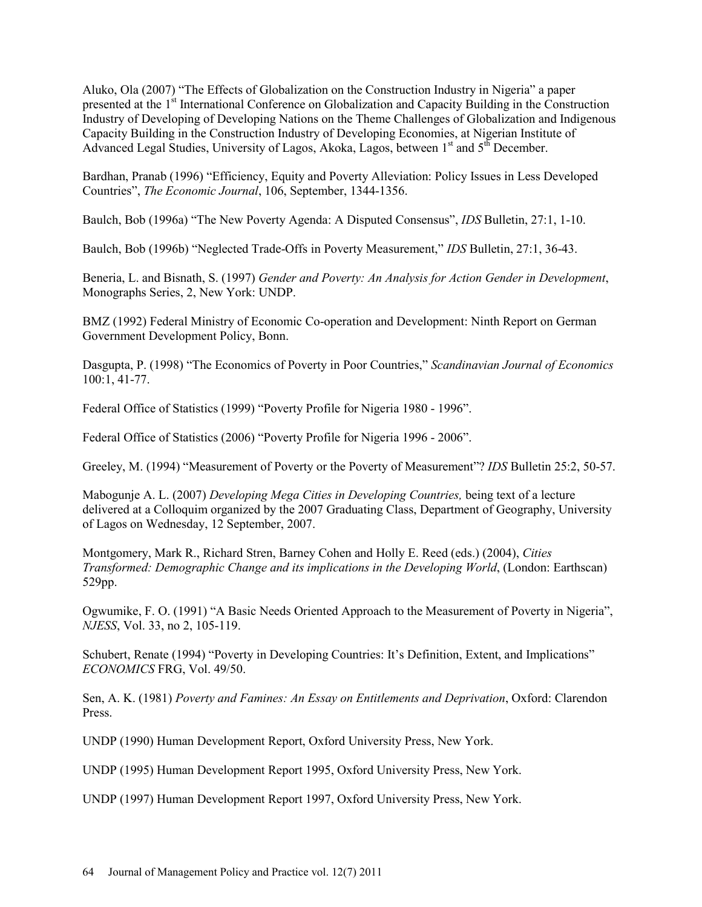Aluko, Ola (2007) "The Effects of Globalization on the Construction Industry in Nigeria" a paper presented at the 1<sup>st</sup> International Conference on Globalization and Capacity Building in the Construction Industry of Developing of Developing Nations on the Theme Challenges of Globalization and Indigenous Capacity Building in the Construction Industry of Developing Economies, at Nigerian Institute of Advanced Legal Studies, University of Lagos, Akoka, Lagos, between 1<sup>st</sup> and 5<sup>th</sup> December.

Bardhan, Pranab (1996) "Efficiency, Equity and Poverty Alleviation: Policy Issues in Less Developed Countries", *The Economic Journal*, 106, September, 1344-1356.

Baulch, Bob (1996a) "The New Poverty Agenda: A Disputed Consensus", *IDS* Bulletin, 27:1, 1-10.

Baulch, Bob (1996b) "Neglected Trade-Offs in Poverty Measurement," *IDS* Bulletin, 27:1, 36-43.

Beneria, L. and Bisnath, S. (1997) *Gender and Poverty: An Analysis for Action Gender in Development*, Monographs Series, 2, New York: UNDP.

BMZ (1992) Federal Ministry of Economic Co-operation and Development: Ninth Report on German Government Development Policy, Bonn.

Dasgupta, P. (1998) "The Economics of Poverty in Poor Countries," *Scandinavian Journal of Economics* 100:1, 41-77.

Federal Office of Statistics (1999) "Poverty Profile for Nigeria 1980 - 1996".

Federal Office of Statistics (2006) "Poverty Profile for Nigeria 1996 - 2006".

Greeley, M. (1994) "Measurement of Poverty or the Poverty of Measurement"? *IDS* Bulletin 25:2, 50-57.

Mabogunje A. L. (2007) *Developing Mega Cities in Developing Countries,* being text of a lecture delivered at a Colloquim organized by the 2007 Graduating Class, Department of Geography, University of Lagos on Wednesday, 12 September, 2007.

Montgomery, Mark R., Richard Stren, Barney Cohen and Holly E. Reed (eds.) (2004), *Cities Transformed: Demographic Change and its implications in the Developing World*, (London: Earthscan) 529pp.

Ogwumike, F. O. (1991) "A Basic Needs Oriented Approach to the Measurement of Poverty in Nigeria", *NJESS*, Vol. 33, no 2, 105-119.

Schubert, Renate (1994) "Poverty in Developing Countries: It's Definition, Extent, and Implications" *ECONOMICS* FRG, Vol. 49/50.

Sen, A. K. (1981) *Poverty and Famines: An Essay on Entitlements and Deprivation*, Oxford: Clarendon Press.

UNDP (1990) Human Development Report, Oxford University Press, New York.

UNDP (1995) Human Development Report 1995, Oxford University Press, New York.

UNDP (1997) Human Development Report 1997, Oxford University Press, New York.